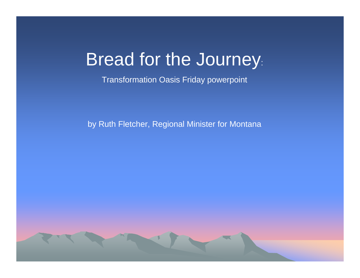### Bread for the Journey:

Transformation Oasis Friday powerpoint

by Ruth Fletcher, Regional Minister for Montana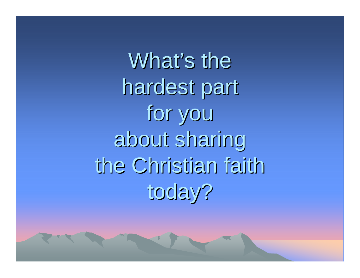What's the hardest part for you about sharing about sharing the Christian faith today?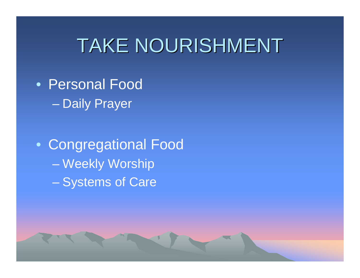## TAKE NOURISHMENT

• Personal FoodDaily Prayer

• Congregational Food Weekly Worship Systems of Care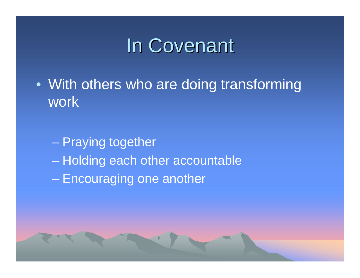## In Covenant

- With others who are doing transforming work
	- Praying together Holding each other accountable Encouraging one another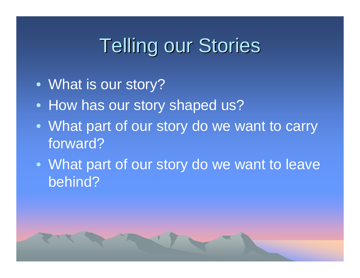## **Telling our Stories**

- What is our story?
- How has our story shaped us?
- What part of our story do we want to carry forward?
- What part of our story do we want to leave behind?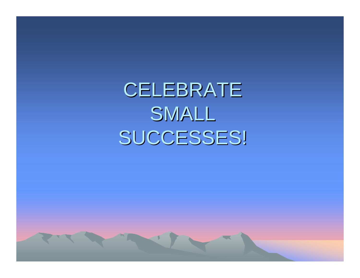CELEBRATE SMALL SUCCESSES!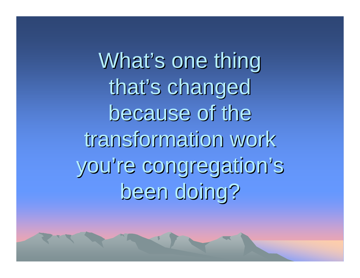What's one thing that's changed because of the transformation work you're congregation's been doing?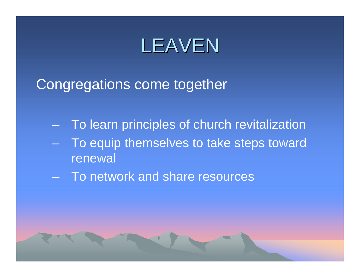## LEAVEN

Congregations come together

- To learn principles of church revitalization
- To equip themselves to take steps toward renewal
- To network and share resources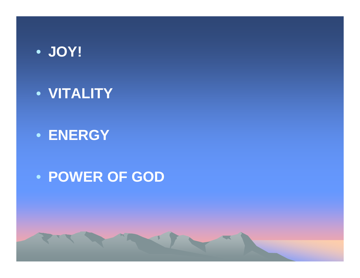

• **VITALITY**

#### • **ENERGY**

#### • **POWER OF GOD**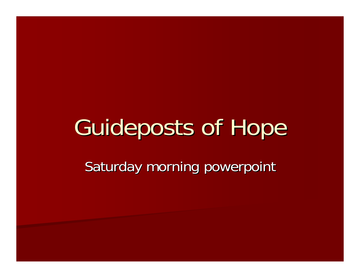# Guideposts of Hope

Saturday morning powerpoint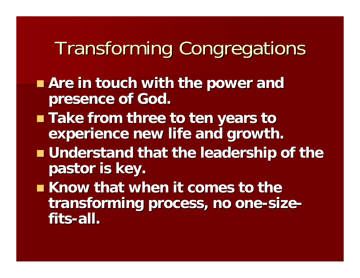## Transforming Congregations Transforming Congregations

- **Are in touch with the power and presence of God. presence of God.**
- Take from three to ten years to **experience new life and growth. experience new life and growth.**
- **understand that the leadership of the pastor is key. pastor is key.**
- Know that when it comes to the transforming process, no one-size**fits-all.**